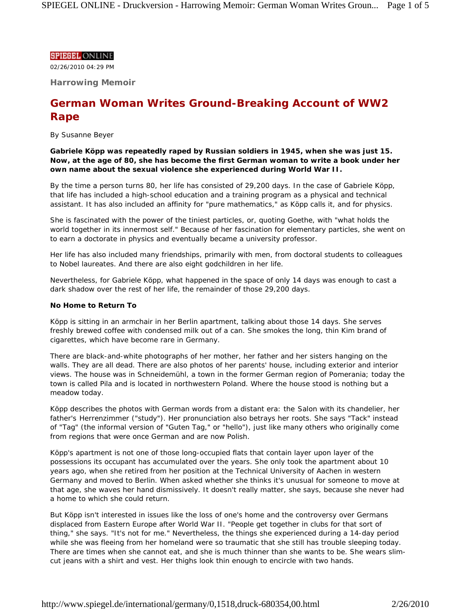# **SPIEGEL ONLINE**

02/26/2010 04:29 PM

**Harrowing Memoir**

# **German Woman Writes Ground-Breaking Account of WW2 Rape**

*By Susanne Beyer*

**Gabriele Köpp was repeatedly raped by Russian soldiers in 1945, when she was just 15. Now, at the age of 80, she has become the first German woman to write a book under her own name about the sexual violence she experienced during World War II.**

By the time a person turns 80, her life has consisted of 29,200 days. In the case of Gabriele Köpp, that life has included a high-school education and a training program as a physical and technical assistant. It has also included an affinity for "pure mathematics," as Köpp calls it, and for physics.

She is fascinated with the power of the tiniest particles, or, quoting Goethe, with "what holds the world together in its innermost self." Because of her fascination for elementary particles, she went on to earn a doctorate in physics and eventually became a university professor.

Her life has also included many friendships, primarily with men, from doctoral students to colleagues to Nobel laureates. And there are also eight godchildren in her life.

Nevertheless, for Gabriele Köpp, what happened in the space of only 14 days was enough to cast a dark shadow over the rest of her life, the remainder of those 29,200 days.

#### **No Home to Return To**

Köpp is sitting in an armchair in her Berlin apartment, talking about those 14 days. She serves freshly brewed coffee with condensed milk out of a can. She smokes the long, thin Kim brand of cigarettes, which have become rare in Germany.

There are black-and-white photographs of her mother, her father and her sisters hanging on the walls. They are all dead. There are also photos of her parents' house, including exterior and interior views. The house was in Schneidemühl, a town in the former German region of Pomerania; today the town is called Pila and is located in northwestern Poland. Where the house stood is nothing but a meadow today.

Köpp describes the photos with German words from a distant era: the *Salon* with its chandelier, her father's *Herrenzimmer* ("study"). Her pronunciation also betrays her roots. She says "Tack" instead of "Tag" (the informal version of "Guten Tag," or "hello"), just like many others who originally come from regions that were once German and are now Polish.

Köpp's apartment is not one of those long-occupied flats that contain layer upon layer of the possessions its occupant has accumulated over the years. She only took the apartment about 10 years ago, when she retired from her position at the Technical University of Aachen in western Germany and moved to Berlin. When asked whether she thinks it's unusual for someone to move at that age, she waves her hand dismissively. It doesn't really matter, she says, because she never had a home to which she could return.

But Köpp isn't interested in issues like the loss of one's home and the controversy over Germans displaced from Eastern Europe after World War II. "People get together in clubs for that sort of thing," she says. "It's not for me." Nevertheless, the things she experienced during a 14-day period while she was fleeing from her homeland were so traumatic that she still has trouble sleeping today. There are times when she cannot eat, and she is much thinner than she wants to be. She wears slimcut jeans with a shirt and vest. Her thighs look thin enough to encircle with two hands.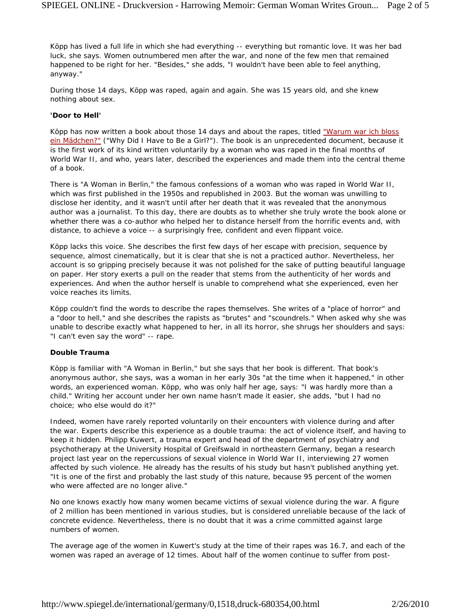Köpp has lived a full life in which she had everything -- everything but romantic love. It was her bad luck, she says. Women outnumbered men after the war, and none of the few men that remained happened to be right for her. "Besides," she adds, "I wouldn't have been able to feel anything, anyway."

During those 14 days, Köpp was raped, again and again. She was 15 years old, and she knew nothing about sex.

#### **'Door to Hell'**

Köpp has now written a book about those 14 days and about the rapes, titled "Warum war ich bloss ein Mädchen?" ("Why Did I Have to Be a Girl?"). The book is an unprecedented document, because it is the first work of its kind written voluntarily by a woman who was raped in the final months of World War II, and who, years later, described the experiences and made them into the central theme of a book.

There is "A Woman in Berlin," the famous confessions of a woman who was raped in World War II, which was first published in the 1950s and republished in 2003. But the woman was unwilling to disclose her identity, and it wasn't until after her death that it was revealed that the anonymous author was a journalist. To this day, there are doubts as to whether she truly wrote the book alone or whether there was a co-author who helped her to distance herself from the horrific events and, with distance, to achieve a voice -- a surprisingly free, confident and even flippant voice.

Köpp lacks this voice. She describes the first few days of her escape with precision, sequence by sequence, almost cinematically, but it is clear that she is not a practiced author. Nevertheless, her account is so gripping precisely because it was not polished for the sake of putting beautiful language on paper. Her story exerts a pull on the reader that stems from the authenticity of her words and experiences. And when the author herself is unable to comprehend what she experienced, even her voice reaches its limits.

Köpp couldn't find the words to describe the rapes themselves. She writes of a "place of horror" and a "door to hell," and she describes the rapists as "brutes" and "scoundrels." When asked why she was unable to describe exactly what happened to her, in all its horror, she shrugs her shoulders and says: "I can't even say the word" -- rape.

### **Double Trauma**

Köpp is familiar with "A Woman in Berlin," but she says that her book is different. That book's anonymous author, she says, was a woman in her early 30s "at the time when it happened," in other words, an experienced woman. Köpp, who was only half her age, says: "I was hardly more than a child." Writing her account under her own name hasn't made it easier, she adds, "but I had no choice; who else would do it?"

Indeed, women have rarely reported voluntarily on their encounters with violence during and after the war. Experts describe this experience as a double trauma: the act of violence itself, and having to keep it hidden. Philipp Kuwert, a trauma expert and head of the department of psychiatry and psychotherapy at the University Hospital of Greifswald in northeastern Germany, began a research project last year on the repercussions of sexual violence in World War II, interviewing 27 women affected by such violence. He already has the results of his study but hasn't published anything yet. "It is one of the first and probably the last study of this nature, because 95 percent of the women who were affected are no longer alive."

No one knows exactly how many women became victims of sexual violence during the war. A figure of 2 million has been mentioned in various studies, but is considered unreliable because of the lack of concrete evidence. Nevertheless, there is no doubt that it was a crime committed against large numbers of women.

The average age of the women in Kuwert's study at the time of their rapes was 16.7, and each of the women was raped an average of 12 times. About half of the women continue to suffer from post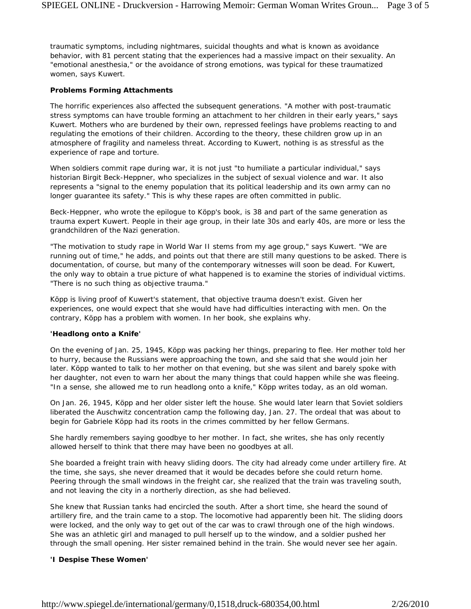traumatic symptoms, including nightmares, suicidal thoughts and what is known as avoidance behavior, with 81 percent stating that the experiences had a massive impact on their sexuality. An "emotional anesthesia," or the avoidance of strong emotions, was typical for these traumatized women, says Kuwert.

### **Problems Forming Attachments**

The horrific experiences also affected the subsequent generations. "A mother with post-traumatic stress symptoms can have trouble forming an attachment to her children in their early years," says Kuwert. Mothers who are burdened by their own, repressed feelings have problems reacting to and regulating the emotions of their children. According to the theory, these children grow up in an atmosphere of fragility and nameless threat. According to Kuwert, nothing is as stressful as the experience of rape and torture.

When soldiers commit rape during war, it is not just "to humiliate a particular individual," says historian Birgit Beck-Heppner, who specializes in the subject of sexual violence and war. It also represents a "signal to the enemy population that its political leadership and its own army can no longer guarantee its safety." This is why these rapes are often committed in public.

Beck-Heppner, who wrote the epilogue to Köpp's book, is 38 and part of the same generation as trauma expert Kuwert. People in their age group, in their late 30s and early 40s, are more or less the grandchildren of the Nazi generation.

"The motivation to study rape in World War II stems from my age group," says Kuwert. "We are running out of time," he adds, and points out that there are still many questions to be asked. There is documentation, of course, but many of the contemporary witnesses will soon be dead. For Kuwert, the only way to obtain a true picture of what happened is to examine the stories of individual victims. "There is no such thing as objective trauma."

Köpp is living proof of Kuwert's statement, that objective trauma doesn't exist. Given her experiences, one would expect that she would have had difficulties interacting with men. On the contrary, Köpp has a problem with women. In her book, she explains why.

#### **'Headlong onto a Knife'**

On the evening of Jan. 25, 1945, Köpp was packing her things, preparing to flee. Her mother told her to hurry, because the Russians were approaching the town, and she said that she would join her later. Köpp wanted to talk to her mother on that evening, but she was silent and barely spoke with her daughter, not even to warn her about the many things that could happen while she was fleeing. "In a sense, she allowed me to run headlong onto a knife," Köpp writes today, as an old woman.

On Jan. 26, 1945, Köpp and her older sister left the house. She would later learn that Soviet soldiers liberated the Auschwitz concentration camp the following day, Jan. 27. The ordeal that was about to begin for Gabriele Köpp had its roots in the crimes committed by her fellow Germans.

She hardly remembers saying goodbye to her mother. In fact, she writes, she has only recently allowed herself to think that there may have been no goodbyes at all.

She boarded a freight train with heavy sliding doors. The city had already come under artillery fire. At the time, she says, she never dreamed that it would be decades before she could return home. Peering through the small windows in the freight car, she realized that the train was traveling south, and not leaving the city in a northerly direction, as she had believed.

She knew that Russian tanks had encircled the south. After a short time, she heard the sound of artillery fire, and the train came to a stop. The locomotive had apparently been hit. The sliding doors were locked, and the only way to get out of the car was to crawl through one of the high windows. She was an athletic girl and managed to pull herself up to the window, and a soldier pushed her through the small opening. Her sister remained behind in the train. She would never see her again.

#### **'I Despise These Women'**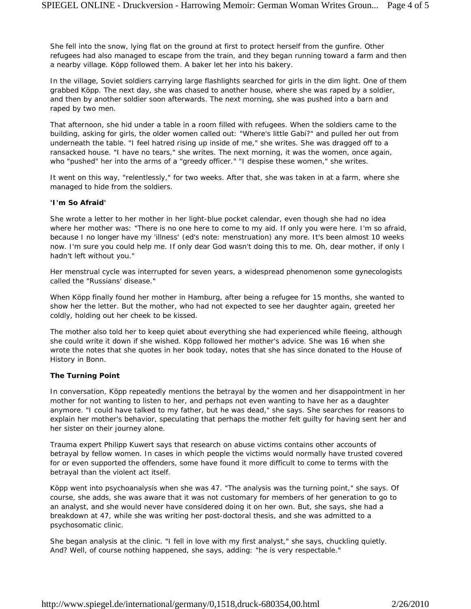She fell into the snow, lying flat on the ground at first to protect herself from the gunfire. Other refugees had also managed to escape from the train, and they began running toward a farm and then a nearby village. Köpp followed them. A baker let her into his bakery.

In the village, Soviet soldiers carrying large flashlights searched for girls in the dim light. One of them grabbed Köpp. The next day, she was chased to another house, where she was raped by a soldier, and then by another soldier soon afterwards. The next morning, she was pushed into a barn and raped by two men.

That afternoon, she hid under a table in a room filled with refugees. When the soldiers came to the building, asking for girls, the older women called out: "Where's little Gabi?" and pulled her out from underneath the table. "I feel hatred rising up inside of me," she writes. She was dragged off to a ransacked house. "I have no tears," she writes. The next morning, it was the women, once again, who "pushed" her into the arms of a "greedy officer." "I despise these women," she writes.

It went on this way, "relentlessly," for two weeks. After that, she was taken in at a farm, where she managed to hide from the soldiers.

### **'I'm So Afraid'**

She wrote a letter to her mother in her light-blue pocket calendar, even though she had no idea where her mother was: "There is no one here to come to my aid. If only you were here. I'm so afraid, because I no longer have my 'illness' *(ed's note: menstruation)* any more. It's been almost 10 weeks now. I'm sure you could help me. If only dear God wasn't doing this to me. Oh, dear mother, if only I hadn't left without you."

Her menstrual cycle was interrupted for seven years, a widespread phenomenon some gynecologists called the "Russians' disease."

When Köpp finally found her mother in Hamburg, after being a refugee for 15 months, she wanted to show her the letter. But the mother, who had not expected to see her daughter again, greeted her coldly, holding out her cheek to be kissed.

The mother also told her to keep quiet about everything she had experienced while fleeing, although she could write it down if she wished. Köpp followed her mother's advice. She was 16 when she wrote the notes that she quotes in her book today, notes that she has since donated to the House of History in Bonn.

# **The Turning Point**

In conversation, Köpp repeatedly mentions the betrayal by the women and her disappointment in her mother for not wanting to listen to her, and perhaps not even wanting to have her as a daughter anymore. "I could have talked to my father, but he was dead," she says. She searches for reasons to explain her mother's behavior, speculating that perhaps the mother felt guilty for having sent her and her sister on their journey alone.

Trauma expert Philipp Kuwert says that research on abuse victims contains other accounts of betrayal by fellow women. In cases in which people the victims would normally have trusted covered for or even supported the offenders, some have found it more difficult to come to terms with the betrayal than the violent act itself.

Köpp went into psychoanalysis when she was 47. "The analysis was the turning point," she says. Of course, she adds, she was aware that it was not customary for members of her generation to go to an analyst, and she would never have considered doing it on her own. But, she says, she had a breakdown at 47, while she was writing her post-doctoral thesis, and she was admitted to a psychosomatic clinic.

She began analysis at the clinic. "I fell in love with my first analyst," she says, chuckling quietly. And? Well, of course nothing happened, she says, adding: "he is very respectable."